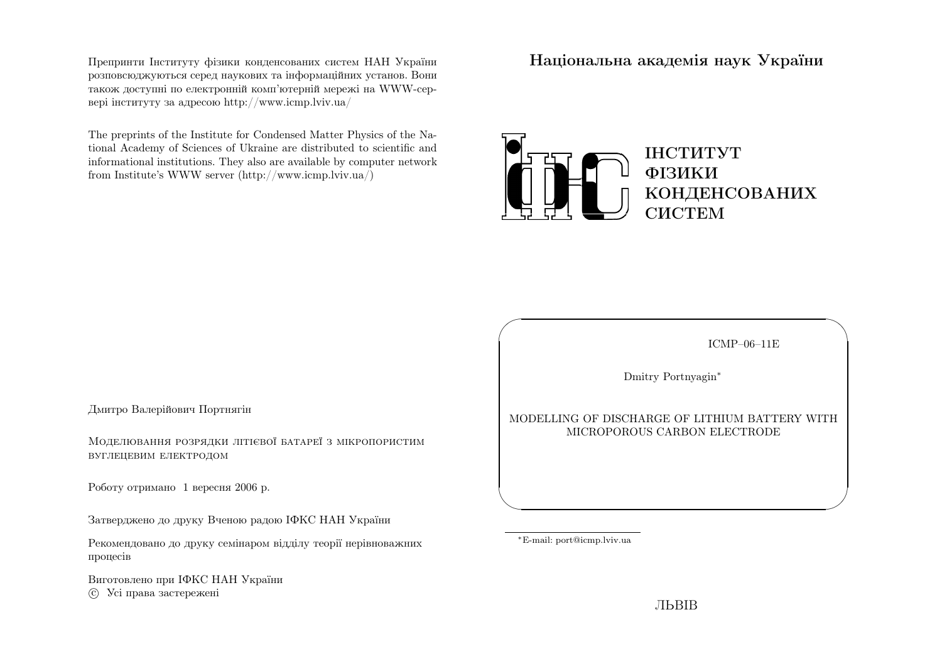Препринти Iнституту фiзики конденсованих систем НАН України розповсюджуються серед наукових та iнформацiйних установ. Вони також доступн<sup>i</sup> по електроннiй комп'ютернiй мереж<sup>i</sup> на WWW-сервер<sup>i</sup> iнституту за адресою http://www.icmp.lviv.ua/

The preprints of the Institute for Condensed Matter Physics of the National Academy of Sciences of Ukraine are distributed to scientific and informational institutions. They also are available by computer networkfrom Institute's WWW server (http://www.icmp.lviv.ua/)

Нацiональна академiя наук України



Дмитро Валерiйович Портнягiн

Моделювання розрядки лiтiєвої батареї <sup>з</sup> мiкропористимвуглецевим електродом

Роботу отримано <sup>1</sup> вересня <sup>2006</sup> р.

Затверджено до друку Вченою радою IФКС НАН України

Рекомендовано до друку семiнаром вiддiлу теорiї нерiвноважнихпроцесiв

Виготовлено при IФКС НАН Україниc Усi права застережен<sup>i</sup>

ICMP–06–11E

✩

 $\mathcal{S}$ 

Dmitry Portnyagin∗

### MODELLING OF DISCHARGE OF LITHIUM BATTERY WITHMICROPOROUS CARBON ELECTRODE

<sup>∗</sup>E-mail: port@icmp.lviv.ua

 $\sqrt{a}$ 

 $\setminus$ 

ЛЬВIВ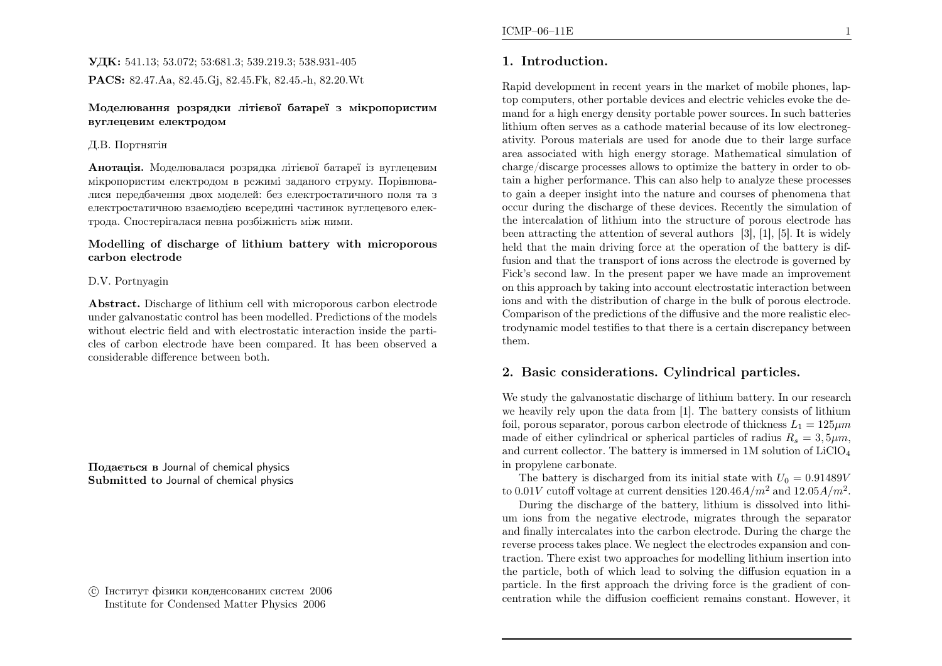## УДК: 541.13; 53.072; 53:681.3; 539.219.3; 538.931-405PACS: 82.47.Aa, 82.45.Gj, 82.45.Fk, 82.45.-h, 82.20.Wt

### Моделювання розрядки лiтiєвої батареї <sup>з</sup> мiкропористимвуглецевим електродом

### Д.В. Портнягiн

**Анотація.** Моделювалася розрядка літієвої батареї із вуглецевим мiкропористим електродом <sup>в</sup> режим<sup>i</sup> заданого струму. Порiвнювалися передбачення двох моделей: без електростатичного поля та <sup>з</sup> електростатичною взаємодiєю всередин<sup>i</sup> частинок вуглецевого електрода. Спостерiгалася певна розбiжнiсть мiж ними.

### Modelling of discharge of lithium battery with microporouscarbon electrode

### D.V. Portnyagin

Abstract. Discharge of lithium cell with microporous carbon electrode under galvanostatic control has been modelled. Predictions of the models without electric field and with electrostatic interaction inside the particles of carbon electrode have been compared. It has been observed <sup>a</sup>considerable difference between both.

Подається <sup>в</sup> Journal of chemical physics Submitted to Journal of chemical physics

 c Iнститут фiзики конденсованих систем <sup>2006</sup>Institute for Condensed Matter Physics <sup>2006</sup>

## 1. Introduction.

Rapid development in recent years in the market of mobile <sup>p</sup>hones, laptop computers, other portable devices and electric vehicles evoke the demand for <sup>a</sup> high energy density portable power sources. In such batteries lithium often serves as <sup>a</sup> cathode material because of its low electronegativity. Porous materials are used for anode due to their large surface area associated with high energy storage. Mathematical simulation of charge/discarge processes allows to optimize the battery in order to obtain <sup>a</sup> higher performance. This can also help to analyze these processes to gain <sup>a</sup> deeper insight into the nature and courses of <sup>p</sup>henomena that occur during the discharge of these devices. Recently the simulation of the intercalation of lithium into the structure of porous electrode has been attracting the attention of several authors [3], [1], [5]. It is widely held that the main driving force at the operation of the battery is diffusion and that the transport of ions across the electrode is governed by Fick's second law. In the present paper we have made an improvement on this approac<sup>h</sup> by taking into account electrostatic interaction between ions and with the distribution of charge in the bulk of porous electrode. Comparison of the predictions of the diffusive and the more realistic electrodynamic model testifies to that there is <sup>a</sup> certain discrepancy betweenthem.

## 2. Basic considerations. Cylindrical particles.

We study the galvanostatic discharge of lithium battery. In our research we heavily rely upon the data from [1]. The battery consists of lithiumfoil, porous separator, porous carbon electrode of thickness  $L_1 = 125 \mu m$ made of either cylindrical or spherical particles of radius  $R_s = 3, 5 \mu m$ , and current collector. The battery is immersed in  $1M$  solution of  $LiClO<sub>4</sub>$ in propylene carbonate.

The battery is discharged from its initial state with  $U_0 = 0.91489V$ to  $0.01V$  cutoff voltage at current densities  $120.46A/m^2$  and  $12.05A/m^2$ .

During the discharge of the battery, lithium is dissolved into lithium ions from the negative electrode, migrates through the separator and finally intercalates into the carbon electrode. During the charge the reverse process takes <sup>p</sup>lace. We neglect the electrodes expansion and contraction. There exist two approaches for modelling lithium insertion into<br>the particle heath of which lead to selving the diffusion equation in a the particle, both of which lead to solving the diffusion equation in <sup>a</sup> particle. In the first approac<sup>h</sup> the driving force is the gradient of concentration while the diffusion coefficient remains constant. However, it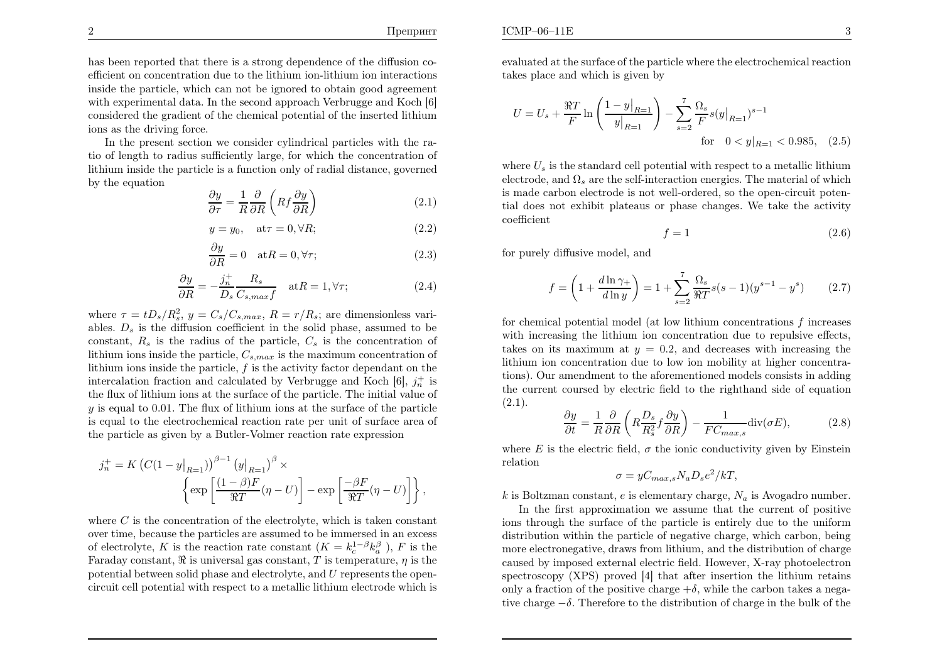,

has been reported that there is <sup>a</sup> strong dependence of the diffusion coefficient on concentration due to the lithium ion-lithium ion interactions inside the particle, which can not be ignored to obtain good agreement with experimental data. In the second approac<sup>h</sup> Verbrugge and Koch [6] considered the gradient of the chemical potential of the inserted lithiumions as the driving force.

In the present section we consider cylindrical particles with the ratio of length to radius sufficiently large, for which the concentration of lithium inside the particle is <sup>a</sup> function only of radial distance, governedby the equation

$$
\frac{\partial y}{\partial \tau} = \frac{1}{R} \frac{\partial}{\partial R} \left( R f \frac{\partial y}{\partial R} \right) \tag{2.1}
$$

$$
y = y_0, \quad \text{at}\tau = 0, \forall R;\tag{2.2}
$$

$$
\frac{\partial y}{\partial R} = 0 \quad \text{at} R = 0, \forall \tau; \tag{2.3}
$$

$$
\frac{\partial y}{\partial R} = -\frac{j_n^+}{D_s} \frac{R_s}{C_{s,max} f} \quad \text{at} R = 1, \forall \tau; \tag{2.4}
$$

where  $\tau = tD_s/R_s^2$ ,  $y = C_s/C_{s,max}$ ,  $R = r/R_s$ ; are dimensionless variables.  $D_s$  is the diffusion coefficient in the solid phase, assumed to be constant,  $R_s$  is the radius of the particle,  $C_s$  is the concentration of lithium ions inside the particle,  $C_{s,max}$  is the maximum concentration of lithium ions inside the particle,  $f$  is the activity factor dependant on the intercalation fraction and calculated by Verbrugge and Koch  $[6]$ ,  $j_n^+$  is the flux of lithium ions at the surface of the particle. The initial value of  $y$  is equal to 0.01. The flux of lithium ions at the surface of the particle is equa<sup>l</sup> to the electrochemical reaction rate per unit of surface area of the particle as <sup>g</sup>iven by <sup>a</sup> Butler-Volmer reaction rate expression

$$
j_n^+ = K \left( C(1 - y|_{R=1}) \right)^{\beta - 1} (y|_{R=1})^{\beta} \times \left\{ \exp \left[ \frac{(1 - \beta)F}{\Re T} (\eta - U) \right] - \exp \left[ \frac{-\beta F}{\Re T} (\eta - U) \right] \right\}
$$

where  $C$  is the concentration of the electrolyte, which is taken constant over time, because the particles are assumed to be immersed in an excessof electrolyte, K is the reaction rate constant  $(K = k_c^{1-\beta} k_a^{\beta})$ , F is the Faraday constant,  $\Re$  is universal gas constant, T is temperature,  $\eta$  is the potential between solid phase and electrolyte, and  $U$  represents the opencircuit cell potential with respect to <sup>a</sup> metallic lithium electrode which is evaluated at the surface of the particle where the electrochemical reactiontakes <sup>p</sup>lace and which is <sup>g</sup>iven by

$$
U = U_s + \frac{\Re T}{F} \ln \left( \frac{1 - y|_{R=1}}{y|_{R=1}} \right) - \sum_{s=2}^{7} \frac{\Omega_s}{F} s(y|_{R=1})^{s-1}
$$
  
for  $0 < y|_{R=1} < 0.985$ , (2.5)

where  $U_s$  is the standard cell potential with respect to a metallic lithium electrode, and  $\Omega_s$  are the self-interaction energies. The material of which is made carbon electrode is not well-ordered, so the open-circuit potential does not exhibit <sup>p</sup>lateaus or <sup>p</sup>hase changes. We take the activitycoefficient

$$
f = 1\tag{2.6}
$$

for purely diffusive model, and

$$
f = \left(1 + \frac{d\ln\gamma_+}{d\ln y}\right) = 1 + \sum_{s=2}^{7} \frac{\Omega_s}{\Re T} s(s-1) (y^{s-1} - y^s) \tag{2.7}
$$

for chemical potential model (at low lithium concentrations  $f$  increases with increasing the lithium ion concentration due to repulsive effects, takes on its maximum at  $y = 0.2$ , and decreases with increasing the lithium ion concentration due to low ion mobility at higher concentrations). Our amendment to the aforementioned models consists in adding the current coursed by electric field to the righthand side of equation $(2.1).$ 

$$
\frac{\partial y}{\partial t} = \frac{1}{R} \frac{\partial}{\partial R} \left( R \frac{D_s}{R_s^2} f \frac{\partial y}{\partial R} \right) - \frac{1}{FC_{max,s}} \text{div}(\sigma E),\tag{2.8}
$$

where E is the electric field,  $\sigma$  the ionic conductivity given by Einstein relation

$$
\sigma = yC_{max,s}N_aD_s e^2/kT,
$$

k is Boltzman constant, e is elementary charge,  $N_a$  is Avogadro number.

In the first approximation we assume that the current of positive ions through the surface of the particle is entirely due to the uniform distribution within the particle of negative charge, which carbon, being more electronegative, draws from lithium, and the distribution of charge caused by imposed external electric field. However, X-ray <sup>p</sup>hotoelectron spectroscopy (XPS) proved [4] that after insertion the lithium retainsonly a fraction of the positive charge  $+\delta$ , while the carbon takes a negative charge<sup>−</sup>δ. Therefore to the distribution of charge in the bulk of the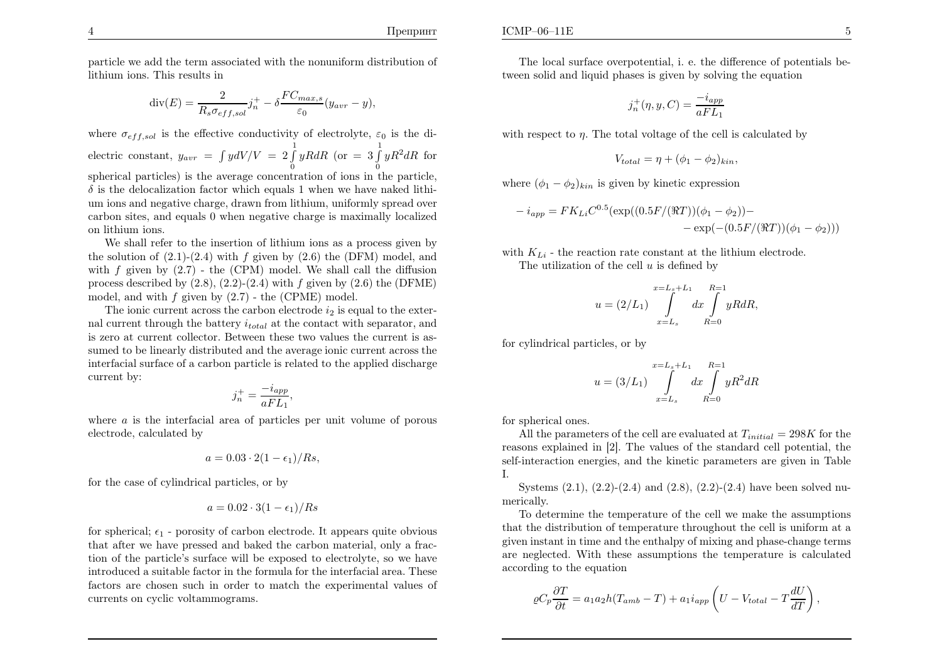Препринт

particle we add the term associated with the nonuniform distribution of lithium ions. This results in

$$
\operatorname{div}(E) = \frac{2}{R_s \sigma_{eff,sol}} j_n^+ - \delta \frac{FC_{max,s}}{\varepsilon_0} (y_{avr} - y),
$$

where  $\sigma_{eff,sol}$  is the effective conductivity of electrolyte,  $\varepsilon_0$  is the di- $\text{electric constant}, y_{avr} =$  $\int \int \int dV / V = 2 \int_{0}^{1} yR dR$  (or  $= 3 \int_{0}^{1} yR^{2} dR$  for spherical particles) is the average concentration of ions in the particle,  $\delta$  is the delocalization factor which equals 1 when we have naked lithium ions and negative charge, drawn from lithium, uniformly spread over carbon sites, and equals <sup>0</sup> when negative charge is maximally localizedon lithium ions.

We shall refer to the insertion of lithium ions as <sup>a</sup> process <sup>g</sup>iven bythe solution of  $(2.1)-(2.4)$  with f given by  $(2.6)$  the (DFM) model, and with  $f$  given by  $(2.7)$  - the (CPM) model. We shall call the diffusion process described by  $(2.8)$ ,  $(2.2)$ - $(2.4)$  with  $f$  given by  $(2.6)$  the (DFME) model, and with  $f$  given by  $(2.7)$  - the (CPME) model.

The ionic current across the carbon electrode  $i_2$  is equal to the external current through the battery  $i_{total}$  at the contact with separator, and is zero at current collector. Between these two values the current is assumed to be linearly distributed and the average ionic current across the interfacial surface of <sup>a</sup> carbon particle is related to the applied dischargecurrent by:

$$
j_n^+ = \frac{-i_{app}}{aFL_1},
$$

where  $a$  is the interfacial area of particles per unit volume of porous electrode, calculated by

$$
a = 0.03 \cdot 2(1 - \epsilon_1)/Rs,
$$

for the case of cylindrical particles, or by

$$
a = 0.02 \cdot 3(1 - \epsilon_1)/Rs
$$

for spherical;  $\epsilon_1$  - porosity of carbon electrode. It appears quite obvious that after we have pressed and baked the carbon material, only <sup>a</sup> fraction of the particle's surface will be exposed to electrolyte, so we have introduced <sup>a</sup> suitable factor in the formula for the interfacial area. These factors are chosen such in order to match the experimental values of currents on cyclic voltammograms.

The local surface overpotential, i. e. the difference of potentials between solid and liquid <sup>p</sup>hases is <sup>g</sup>iven by solving the equation

$$
j_n^+(\eta, y, C) = \frac{-i_{app}}{aFL_1}
$$

with respect to  $\eta$ . The total voltage of the cell is calculated by

$$
V_{total} = \eta + (\phi_1 - \phi_2)_{kin},
$$

where  $(\phi_1 - \phi_2)_{kin}$  is given by kinetic expression

$$
-i_{app} = FK_{Li}C^{0.5}(\exp((0.5F/(\Re T))(\phi_1 - \phi_2)) -
$$
  
- 
$$
=\exp(-(0.5F/(\Re T))(\phi_1 - \phi_2)))
$$

with 
$$
K_{Li}
$$
 - the reaction rate constant at the lithium electrode.

The utilization of the cell  $u$  is defined by

$$
u = (2/L_1) \int_{x=L_s}^{x=L_s+L_1} dx \int_{R=0}^{R=1} yR dR,
$$

for cylindrical particles, or by

$$
u = (3/L_1) \int_{x=L_s}^{x=L_s+L_1} dx \int_{R=0}^{R=1} yR^2 dR
$$

for spherical ones.

All the parameters of the cell are evaluated at  $T_{initial} = 298K$  for the space cyrridical in [9]. The values of the standard cell potential, the reasons explained in [2]. The values of the standard cell potential, the self-interaction energies, and the kinetic parameters are <sup>g</sup>iven in Table I.

Systems  $(2.1)$ ,  $(2.2)$ - $(2.4)$  and  $(2.8)$ ,  $(2.2)$ - $(2.4)$  have been solved numerically.

To determine the temperature of the cell we make the assumptions that the distribution of temperature throughout the cell is uniform at <sup>a</sup> <sup>g</sup>iven instant in time and the enthalpy of mixing and <sup>p</sup>hase-change terms are neglected. With these assumptions the temperature is calculatedaccording to the equation

$$
\varrho C_p \frac{\partial T}{\partial t} = a_1 a_2 h (T_{amb} - T) + a_1 i_{app} \left( U - V_{total} - T \frac{dU}{dT} \right)
$$

,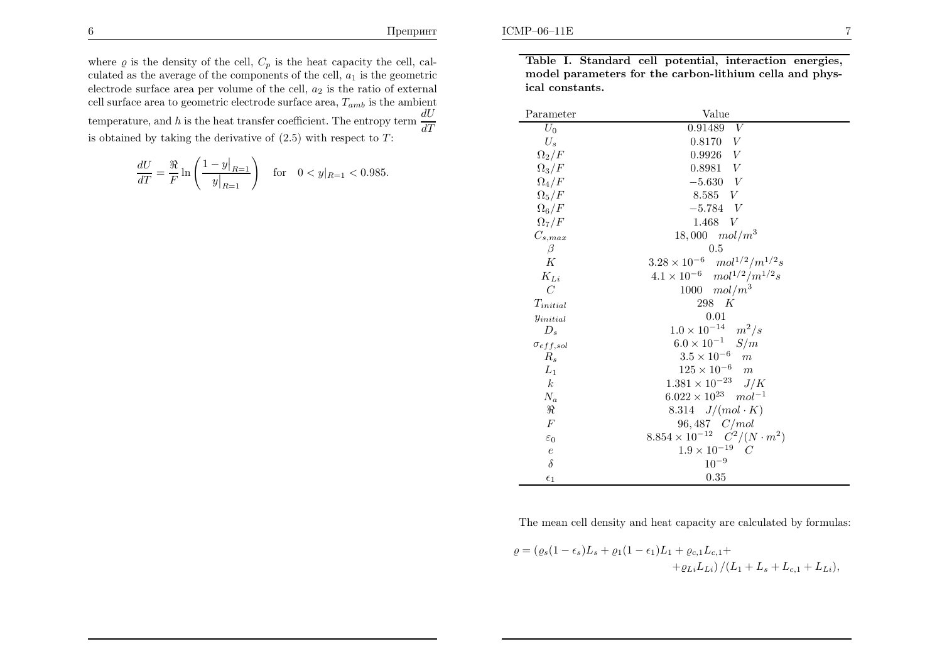where  $\varrho$  is the density of the cell,  $C_p$  is the heat capacity the cell, calculated as the average of the components of the cell,  $a_1$  is the geometric electrode surface area per volume of the cell,  $a_2$  is the ratio of external cell surface area to geometric electrode surface area,  $T_{amb}$  is the ambient temperature, and h is the heat transfer coefficient. The entropy term  $\frac{dU}{dT}$ is obtained by taking the derivative of  $(2.5)$  with respect to T:

$$
\frac{dU}{dT} = \frac{\Re}{F} \ln \left( \frac{1 - y|_{R=1}}{y|_{R=1}} \right) \quad \text{for} \quad 0 < y|_{R=1} < 0.985.
$$

Table I. Standard cell potential, interaction energies, model parameters for the carbon-lithium cella and <sup>p</sup>hysical constants.

| Parameter            | Value                                       |
|----------------------|---------------------------------------------|
| $U_0$                | 0.91489<br>V                                |
| $U_s$                | 0.8170<br>V                                 |
| $\Omega_2/F$         | $0.9926\quad V$                             |
| $\Omega_3/F$         | 0.8981 V                                    |
| $\Omega_4/F$         | $-5.630 V$                                  |
| $\Omega_5/F$         | 8.585 V                                     |
| $\Omega_6/F$         | $-5.784$ V                                  |
| $\Omega_7/F$         | 1.468<br>V                                  |
| $C_{s, max}$         | $18,000 \mod m^3$                           |
| β                    | $0.5\,$                                     |
| К                    | $3.28 \times 10^{-6}$ $mol^{1/2}/m^{1/2}s$  |
| $K_{Li}$             | $4.1 \times 10^{-6}$ $mol^{1/2}/m^{1/2}s$   |
| $\overline{C}$       | 1000 $mol/m^3$                              |
| $T_{initial}$        | 298 K                                       |
| y <sub>initial</sub> | 0.01                                        |
| $D_{\rm s}$          | $1.0 \times 10^{-14}$ $m^2/s$               |
| $\sigma_{eff,sol}$   | $6.0 \times 10^{-1}$ $S/m$                  |
| $R_{\rm s}$          | $3.5 \times 10^{-6}$<br>$\boldsymbol{m}$    |
| $L_1$                | $125 \times 10^{-6}$<br>m                   |
| $\boldsymbol{k}$     | $1.381 \times 10^{-23}$ J/K                 |
| $\mathcal{N}_a$      | $6.022 \times 10^{23}$ $mol^{-1}$           |
| $\Re$                | 8.314 $J/(mol \cdot K)$                     |
| $\overline{F}$       | $96,487 \quad C/mol$                        |
| $\varepsilon_0$      | $8.854 \times 10^{-12}$ $C^2/(N \cdot m^2)$ |
| $\boldsymbol{e}$     | $1.9 \times 10^{-19}$ C                     |
| $\delta$             | $10^{-9}$                                   |
| $\epsilon_1$         | 0.35                                        |

The mean cell density and heat capacity are calculated by formulas:

$$
\varrho = (\varrho_s (1 - \epsilon_s)L_s + \varrho_1 (1 - \epsilon_1)L_1 + \varrho_{c,1}L_{c,1} +
$$
  
+
$$
+ \varrho_{Li}L_{Li}) / (L_1 + L_s + L_{c,1} + L_{Li}),
$$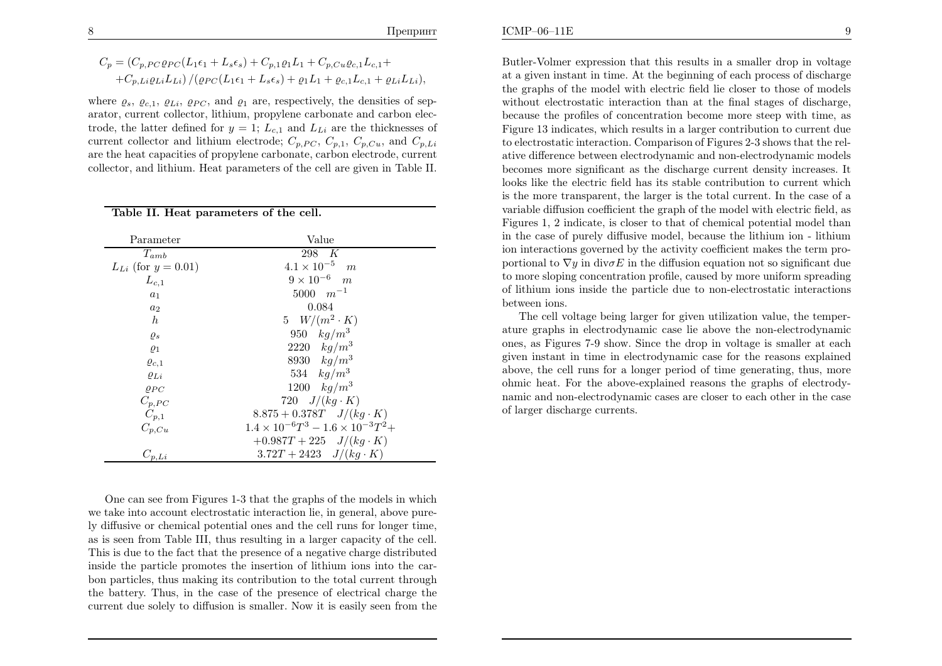$$
C_p = (C_{p,PC}\varrho_{PC}(L_1\epsilon_1 + L_s\epsilon_s) + C_{p,1}\varrho_1L_1 + C_{p,Cu}\varrho_{c,1}L_{c,1} + C_{p,Li}\varrho_{Li}L_{Li}) / (\varrho_{PC}(L_1\epsilon_1 + L_s\epsilon_s) + \varrho_1L_1 + \varrho_{c,1}L_{c,1} + \varrho_{Li}L_{Li}),
$$

where  $\varrho_s$ ,  $\varrho_{c,1}$ ,  $\varrho_{Li}$ ,  $\varrho_{PC}$ , and  $\varrho_1$  are, respectively, the densities of separator, current collector, lithium, propylene carbonate and carbon electrode, the latter defined for  $y = 1$ ;  $L_{c,1}$  and  $L_{Li}$  are the thicknesses of current collector and lithium electrode;  $C_{p,PC}$ ,  $C_{p,1}$ ,  $C_{p,Cu}$ , and  $C_{p,Li}$ are the heat capacities of propylene carbonate, carbon electrode, currentcollector, and lithium. Heat parameters of the cell are <sup>g</sup>iven in Table II.

Table II. Heat parameters of the cell.

| Parameter                  | Value                                             |
|----------------------------|---------------------------------------------------|
| $T_{amb}$                  | 298 K                                             |
| $L_{Li}$ (for $y = 0.01$ ) | $4.1 \times 10^{-5}$<br>m                         |
| $L_{c,1}$                  | $9 \times 10^{-6}$ m                              |
| $a_1$                      | $5000 \, m^{-1}$                                  |
| $a_2$                      | 0.084                                             |
| $\boldsymbol{h}$           | 5 $W/(m^2 \cdot K)$                               |
| $\varrho_s$                | 950 $kg/m^3$                                      |
| $\varrho_1$                | 2220 $kg/m^3$                                     |
| $\varrho_{c,1}$            | 8930 $kg/m^3$                                     |
| $\varrho_{Li}$             | 534 $kg/m^3$                                      |
| $\rho_{PC}$                | 1200 $kg/m^3$                                     |
| $C_{p,PC}$                 | 720 $J/(kg \cdot K)$                              |
| $C_{p,1}$                  | $8.875 + 0.378T$ $J/(kg \cdot K)$                 |
| $C_{p,Cu}$                 | $1.4 \times 10^{-6}T^3 - 1.6 \times 10^{-3}T^2 +$ |
|                            | $+0.987T+225$ $J/(kg \cdot K)$                    |
| $C_{p,Li}$                 | $3.72T + 2423$ $J/(kg \cdot K)$                   |

One can see from Figures 1-3 that the graphs of the models in which we take into account electrostatic interaction lie, in general, above purely diffusive or chemical potential ones and the cell runs for longer time, as is seen from Table III, thus resulting in <sup>a</sup> larger capacity of the cell. This is due to the fact that the presence of <sup>a</sup> negative charge distributed inside the particle promotes the insertion of lithium ions into the carbon particles, thus making its contribution to the total current through the battery. Thus, in the case of the presence of electrical charge thecurrent due solely to diffusion is smaller. Now it is easily seen from the

Butler-Volmer expression that this results in <sup>a</sup> smaller drop in voltage at <sup>a</sup> <sup>g</sup>iven instant in time. At the beginning of each process of discharge the graphs of the model with electric field lie closer to those of models without electrostatic interaction than at the final stages of discharge, because the profiles of concentration become more steep with time, as Figure <sup>13</sup> indicates, which results in <sup>a</sup> larger contribution to current due to electrostatic interaction. Comparison of Figures 2-3 shows that the relative difference between electrodynamic and non-electrodynamic models becomes more significant as the discharge current density increases. It looks like the electric field has its stable contribution to current which is the more transparent, the larger is the total current. In the case of <sup>a</sup> variable diffusion coefficient the grap<sup>h</sup> of the model with electric field, as Figures 1, <sup>2</sup> indicate, is closer to that of chemical potential model than in the case of purely diffusive model, because the lithium ion - lithium ion interactions governed by the activity coefficient makes the term proportional to  $\nabla y$  in div $\sigma E$  in the diffusion equation not so significant due to more sloping concentration profile, caused by more uniform spreading of lithium ions inside the particle due to non-electrostatic interactionsbetween ions.

The cell voltage being larger for <sup>g</sup>iven utilization value, the temperature graphs in electrodynamic case lie above the non-electrodynamic ones, as Figures 7-9 show. Since the drop in voltage is smaller at each <sup>g</sup>iven instant in time in electrodynamic case for the reasons explained above, the cell runs for <sup>a</sup> longer period of time generating, thus, more ohmic heat. For the above-explained reasons the graphs of electrodynamic and non-electrodynamic cases are closer to each other in the caseof larger discharge currents.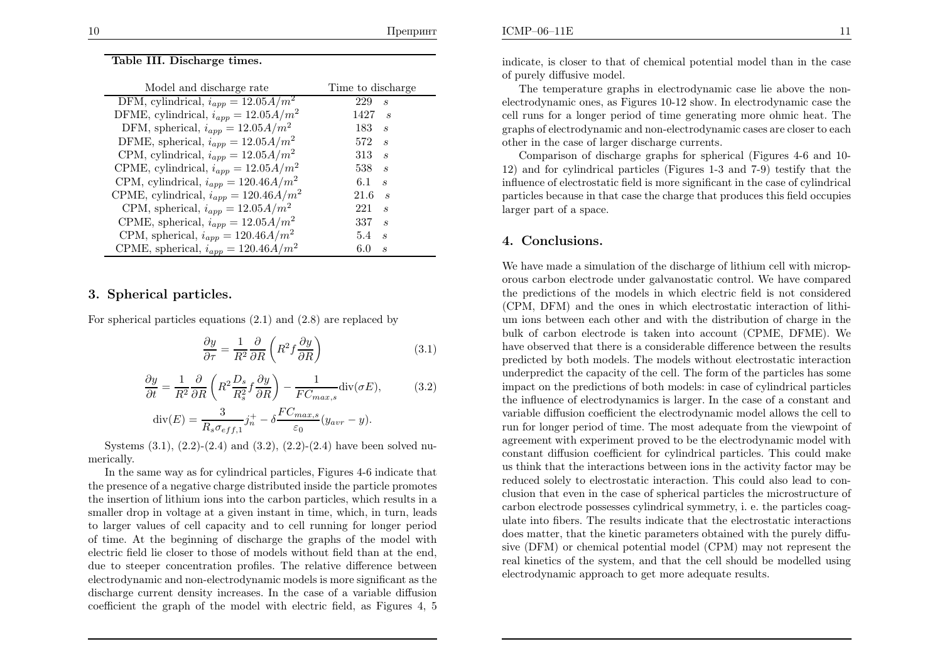#### Table III. Discharge times.

| Model and discharge rate                                         | Time to discharge                            |
|------------------------------------------------------------------|----------------------------------------------|
| $\overline{\mathrm{DFM}}$ , cylindrical, $i_{app} = 12.05 A/m^2$ | 229<br>$\mathcal{S}_{\mathcal{S}}$           |
| DFME, cylindrical, $i_{app} = 12.05 A/m^2$                       | 1427<br>$\boldsymbol{S}$                     |
| DFM, spherical, $i_{app} = 12.05 A/m^2$                          | 183<br>$\overline{\mathcal{S}}$              |
| DFME, spherical, $i_{app} = 12.05 A/m^2$                         | 572<br>$\overline{\mathcal{S}}$              |
| CPM, cylindrical, $i_{app} = 12.05 A/m^2$                        | $313 \t s$                                   |
| CPME, cylindrical, $i_{app} = 12.05 A/m^2$                       | 538<br>$\overline{\mathcal{S}}$              |
| CPM, cylindrical, $i_{app} = 120.46 A/m^2$                       | 6.1<br>$\mathcal{S}_{\mathcal{S}}$           |
| CPME, cylindrical, $i_{app} = 120.46 A/m^2$                      | 21.6<br>$\overline{\mathcal{S}}$             |
| CPM, spherical, $i_{app} = 12.05 A/m^2$                          | 221<br>$\mathcal{S}_{\mathcal{S}}$           |
| CPME, spherical, $i_{app} = 12.05 A/m^2$                         | 337<br>$\overline{s}$                        |
| CPM, spherical, $i_{app} = 120.46 A/m^2$                         | $5.4^{\circ}$<br>$\mathcal{S}_{\mathcal{S}}$ |
| CPME, spherical, $i_{app} = 120.46 A/m^2$                        | 6.0<br>$\mathcal{S}_{\mathcal{S}}$           |

### 3. Spherical particles.

For spherical particles equations  $(2.1)$  and  $(2.8)$  are replaced by

$$
\frac{\partial y}{\partial \tau} = \frac{1}{R^2} \frac{\partial}{\partial R} \left( R^2 f \frac{\partial y}{\partial R} \right) \tag{3.1}
$$

$$
\frac{\partial y}{\partial t} = \frac{1}{R^2} \frac{\partial}{\partial R} \left( R^2 \frac{D_s}{R_s^2} f \frac{\partial y}{\partial R} \right) - \frac{1}{FC_{max,s}} \text{div}(\sigma E),\tag{3.2}
$$

$$
\operatorname{div}(E) = \frac{3}{R_s \sigma_{eff,1}} j_n^+ - \delta \frac{FC_{max,s}}{\varepsilon_0} (y_{avr} - y).
$$

Systems (3.1), (2.2)-(2.4) and (3.2), (2.2)-(2.4) have been solved numerically.

In the same way as for cylindrical particles, Figures 4-6 indicate that the presence of <sup>a</sup> negative charge distributed inside the particle promotes the insertion of lithium ions into the carbon particles, which results in <sup>a</sup> smaller drop in voltage at <sup>a</sup> <sup>g</sup>iven instant in time, which, in turn, leads to larger values of cell capacity and to cell running for longer period of time. At the beginning of discharge the graphs of the model with electric field lie closer to those of models without field than at the end, due to steeper concentration profiles. The relative difference between electrodynamic and non-electrodynamic models is more significant as the discharge current density increases. In the case of <sup>a</sup> variable diffusioncoefficient the grap<sup>h</sup> of the model with electric field, as Figures 4, <sup>5</sup>

indicate, is closer to that of chemical potential model than in the case of purely diffusive model.

The temperature graphs in electrodynamic case lie above the nonelectrodynamic ones, as Figures 10-12 show. In electrodynamic case the cell runs for <sup>a</sup> longer period of time generating more ohmic heat. The graphs of electrodynamic and non-electrodynamic cases are closer to eachother in the case of larger discharge currents.

Comparison of discharge graphs for spherical (Figures 4-6 and 10- 12) and for cylindrical particles (Figures 1-3 and 7-9) testify that the influence of electrostatic field is more significant in the case of cylindrical particles because in that case the charge that produces this field occupies larger part of <sup>a</sup> space.

## 4. Conclusions.

We have made <sup>a</sup> simulation of the discharge of lithium cell with microporous carbon electrode under galvanostatic control. We have compared the predictions of the models in which electric field is not considered (CPM, DFM) and the ones in which electrostatic interaction of lithium ions between each other and with the distribution of charge in the bulk of carbon electrode is taken into account (CPME, DFME). We have observed that there is <sup>a</sup> considerable difference between the results predicted by both models. The models without electrostatic interaction underpredict the capacity of the cell. The form of the particles has some impact on the predictions of both models: in case of cylindrical particles the influence of electrodynamics is larger. In the case of <sup>a</sup> constant and variable diffusion coefficient the electrodynamic model allows the cell to run for longer period of time. The most adequate from the viewpoint of agreement with experiment proved to be the electrodynamic model with constant diffusion coefficient for cylindrical particles. This could make us think that the interactions between ions in the activity factor may be reduced solely to electrostatic interaction. This could also lead to conclusion that even in the case of spherical particles the microstructure of carbon electrode possesses cylindrical symmetry, i. e. the particles coagulate into fibers. The results indicate that the electrostatic interactions does matter, that the kinetic parameters obtained with the purely diffusive (DFM) or chemical potential model (CPM) may not represent the real kinetics of the system, and that the cell should be modelled usingelectrodynamic approac<sup>h</sup> to get more adequate results.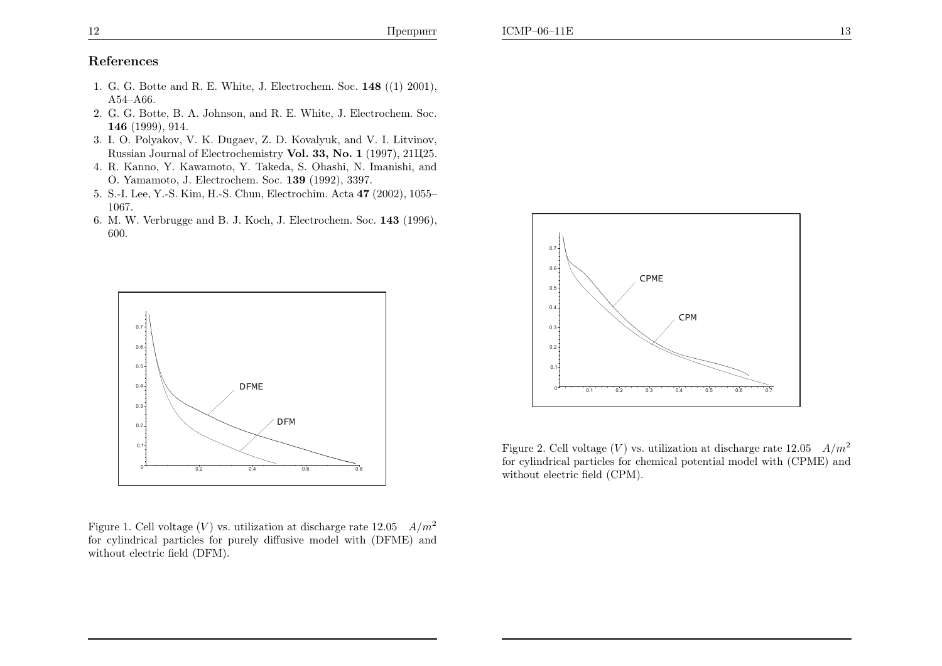- 1. G. G. Botte and R. E. White, J. Electrochem. Soc.  $148$  ((1) 2001), A54–A66.
- 2. G. G. Botte, B. A. Johnson, and R. E. White, J. Electrochem. Soc. 146 (1999), 914.
- 3. I. O. Polyakov, V. K. Dugaev, Z. D. Kovalyuk, and V. I. Litvinov, Russian Journal of Electrochemistry **Vol. 33, No. 1** (1997), 21Ц25.
- 4. R. Kanno, Y. Kawamoto, Y. Takeda, S. Ohashi, N. Imanishi, andO. Yamamoto, J. Electrochem. Soc. <sup>139</sup> (1992), 3397.
- 5. S.-I. Lee, Y.-S. Kim, H.-S. Chun, Electrochim. Acta <sup>47</sup> (2002), 1055– 1067.
- 6. M. W. Verbrugge and B. J. Koch, J. Electrochem. Soc. <sup>143</sup> (1996), 600.



Figure 1. Cell voltage  $(V)$  vs. utilization at discharge rate  $12.05$   $A/m^2$ for cylindrical particles for purely diffusive model with (DFME) andwithout electric field (DFM).



Figure 2. Cell voltage  $(V)$  vs. utilization at discharge rate  $12.05$   $A/m^2$ for cylindrical particles for chemical potential model with (CPME) andwithout electric field (CPM).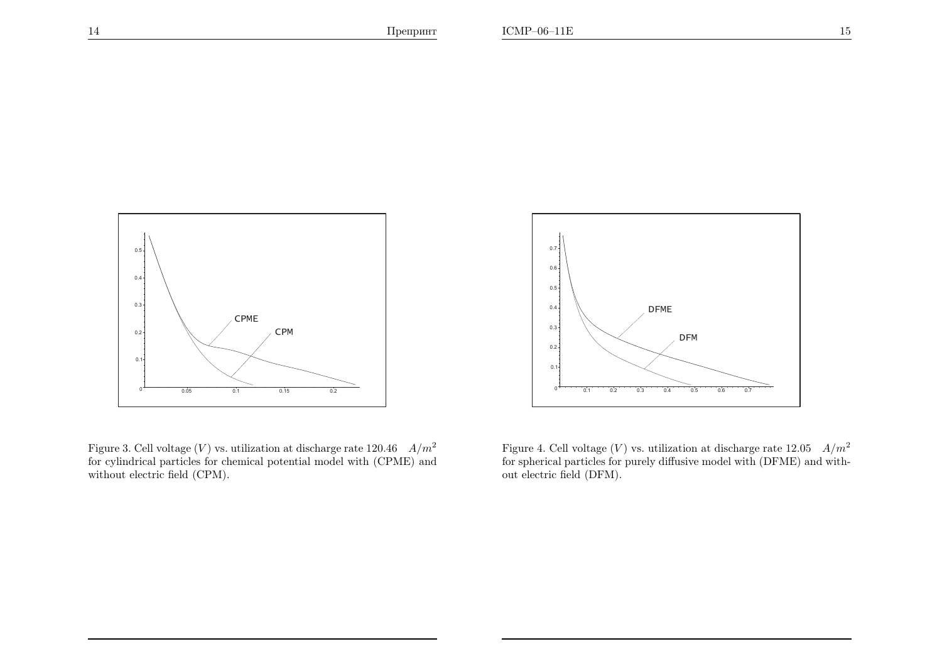

Figure 3. Cell voltage  $(V)$  vs. utilization at discharge rate 120.46  $A/m^2$ for cylindrical particles for chemical potential model with (CPME) andwithout electric field (CPM).



Figure 4. Cell voltage (V) vs. utilization at discharge rate  $12.05 \frac{A}{m^2}$ for spherical particles for purely diffusive model with (DFME) and without electric field (DFM).

14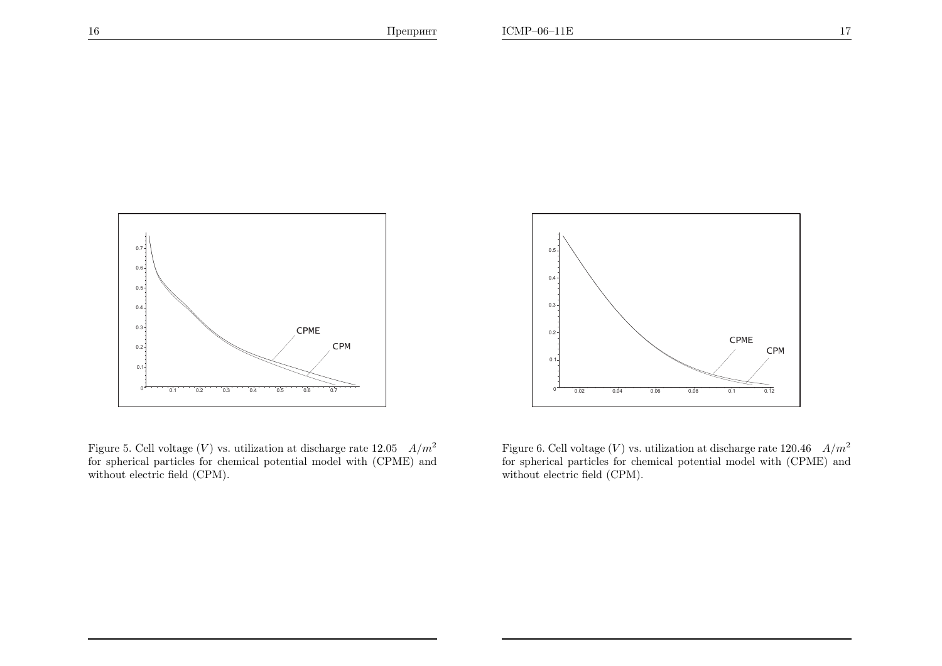16



Figure 5. Cell voltage (V) vs. utilization at discharge rate  $12.05$   $A/m^2$ for spherical particles for chemical potential model with (CPME) andwithout electric field (CPM).



Figure 6. Cell voltage  $(V)$  vs. utilization at discharge rate 120.46  $A/m^2$ for spherical particles for chemical potential model with (CPME) andwithout electric field (CPM).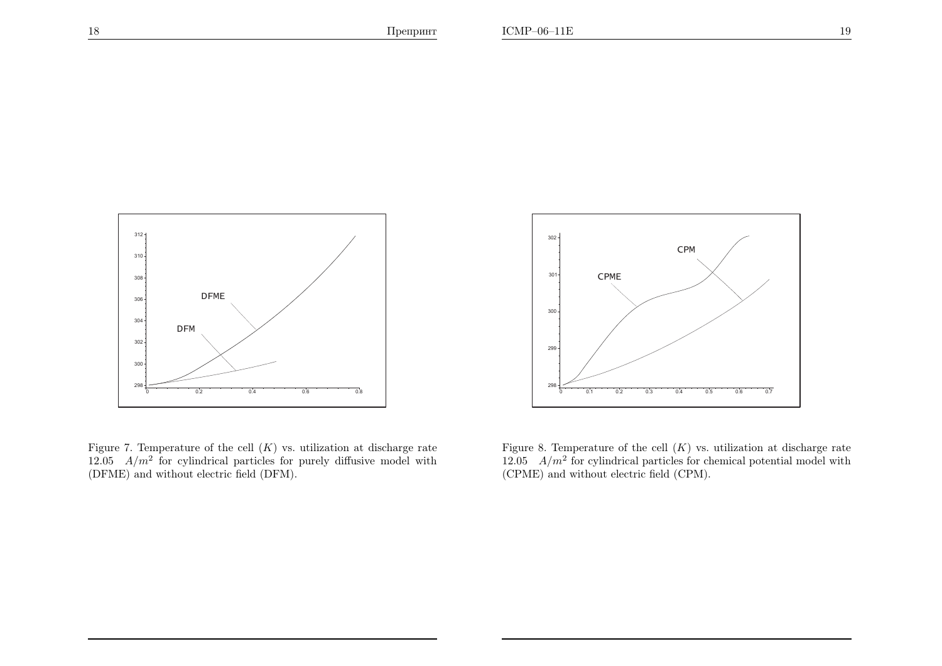



Figure 7. Temperature of the cell  $(K)$  vs. utilization at discharge rate 12.05  $A/m^2$  for cylindrical particles for purely diffusive model with (DFME) and without electric field (DFM).



Figure 8. Temperature of the cell  $(K)$  vs. utilization at discharge rate 12.05  $A/m^2$  for cylindrical particles for chemical potential model with (CPME) and without electric field (CPM).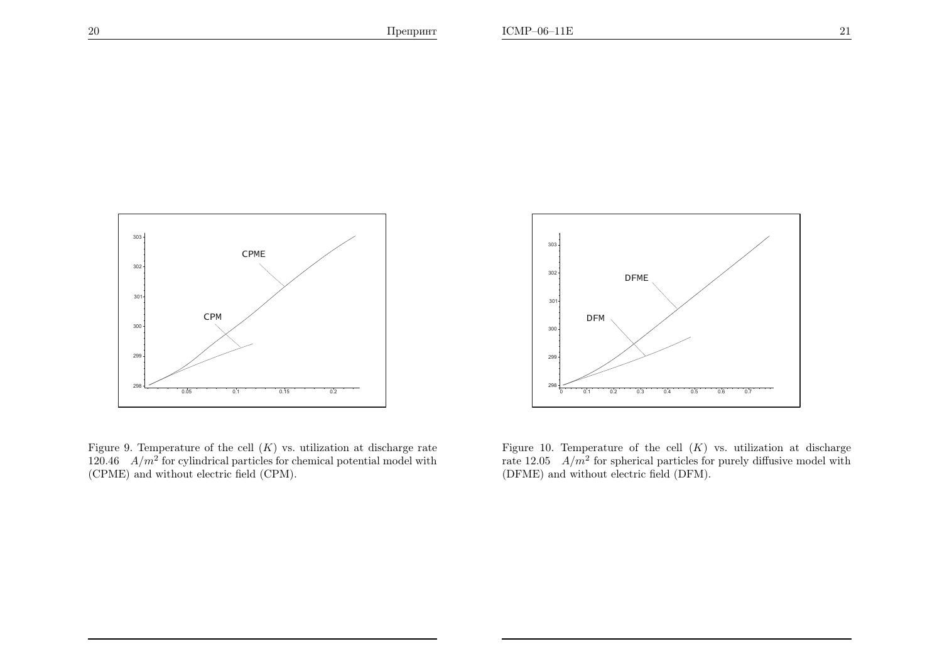

Figure 9. Temperature of the cell  $(K)$  vs. utilization at discharge rate  $120.46$   $A/m^2$  for cylindrical particles for chemical potential model with (CPME) and without electric field (CPM).



Figure 10. Temperature of the cell  $(K)$  vs. utilization at discharge rate  $12.05$   $A/m^2$  for spherical particles for purely diffusive model with (DFME) and without electric field (DFM).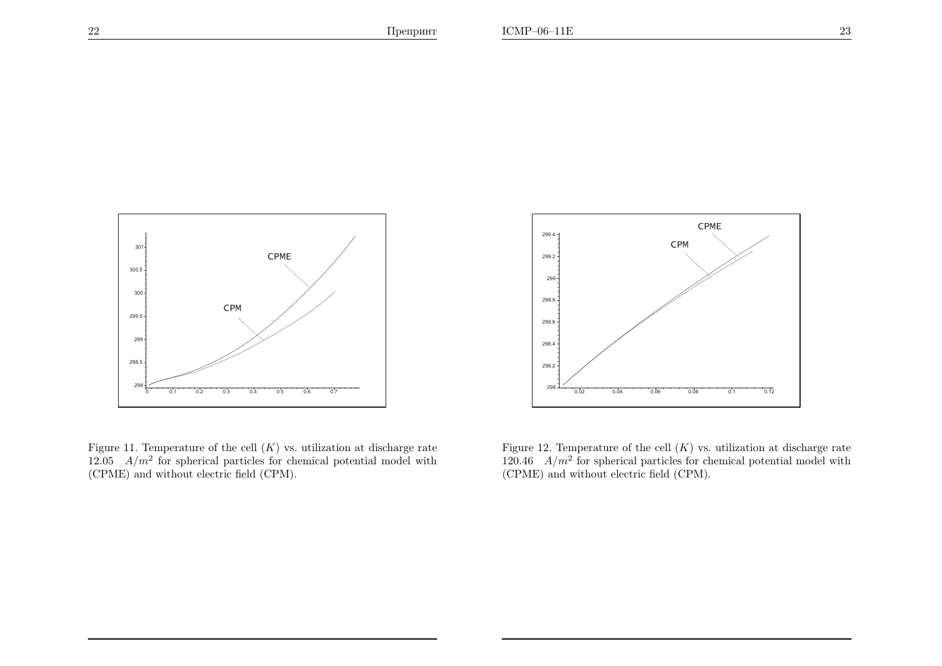

Figure 11. Temperature of the cell  $(K)$  vs. utilization at discharge rate 12.05  $A/m^2$  for spherical particles for chemical potential model with (CPME) and without electric field (CPM).



Figure 12. Temperature of the cell  $(K)$  vs. utilization at discharge rate  $120.46$   $A/m^2$  for spherical particles for chemical potential model with (CPME) and without electric field (CPM).